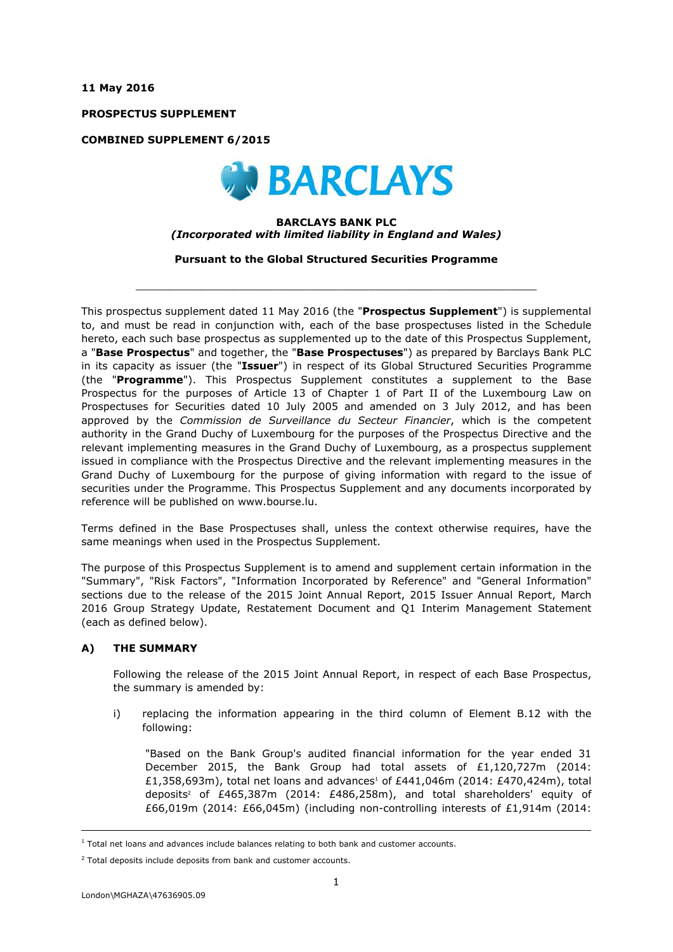**11 May 2016**

**PROSPECTUS SUPPLEMENT**

**COMBINED SUPPLEMENT 6/2015**



#### **BARCLAYS BANK PLC** *(Incorporated with limited liability in England and Wales)*

**Pursuant to the Global Structured Securities Programme**

 $\_$  ,  $\_$  ,  $\_$  ,  $\_$  ,  $\_$  ,  $\_$  ,  $\_$  ,  $\_$  ,  $\_$  ,  $\_$  ,  $\_$  ,  $\_$  ,  $\_$  ,  $\_$  ,  $\_$  ,  $\_$  ,  $\_$  ,  $\_$  ,  $\_$  ,  $\_$  ,  $\_$  ,  $\_$  ,  $\_$  ,  $\_$  ,  $\_$  ,  $\_$  ,  $\_$  ,  $\_$  ,  $\_$  ,  $\_$  ,  $\_$  ,  $\_$  ,  $\_$  ,  $\_$  ,  $\_$  ,  $\_$  ,  $\_$  ,

This prospectus supplement dated 11 May 2016 (the "**Prospectus Supplement**") is supplemental to, and must be read in conjunction with, each of the base prospectuses listed in the Schedule hereto, each such base prospectus as supplemented up to the date of this Prospectus Supplement, a "**Base Prospectus**" and together, the "**Base Prospectuses**") as prepared by Barclays Bank PLC in its capacity as issuer (the "**Issuer**") in respect of its Global Structured Securities Programme (the "**Programme**"). This Prospectus Supplement constitutes a supplement to the Base Prospectus for the purposes of Article 13 of Chapter 1 of Part II of the Luxembourg Law on Prospectuses for Securities dated 10 July 2005 and amended on 3 July 2012, and has been approved by the *Commission de Surveillance du Secteur Financier*, which is the competent authority in the Grand Duchy of Luxembourg for the purposes of the Prospectus Directive and the relevant implementing measures in the Grand Duchy of Luxembourg, as a prospectus supplement issued in compliance with the Prospectus Directive and the relevant implementing measures in the Grand Duchy of Luxembourg for the purpose of giving information with regard to the issue of securities under the Programme. This Prospectus Supplement and any documents incorporated by reference will be published on www.bourse.lu.

Terms defined in the Base Prospectuses shall, unless the context otherwise requires, have the same meanings when used in the Prospectus Supplement.

The purpose of this Prospectus Supplement is to amend and supplement certain information in the "Summary", "Risk Factors", "Information Incorporated by Reference" and "General Information" sections due to the release of the 2015 Joint Annual Report, 2015 Issuer Annual Report, March 2016 Group Strategy Update, Restatement Document and Q1 Interim Management Statement (each as defined below).

### **A) THE SUMMARY**

Following the release of the 2015 Joint Annual Report, in respect of each Base Prospectus, the summary is amended by:

i) replacing the information appearing in the third column of Element B.12 with the following:

"Based on the Bank Group's audited financial information for the year ended 31 December 2015, the Bank Group had total assets of £1,120,727m (2014: £1,358,693m), total net loans and advances<sup>1</sup> of £441,046m (2014: £470,424m), total deposits<sup>2</sup> of £465,387m (2014: £486,258m), and total shareholders' equity of £66,019m (2014: £66,045m) (including non-controlling interests of £1,914m (2014:

i,

 $<sup>1</sup>$  Total net loans and advances include balances relating to both bank and customer accounts.</sup>

 $2$  Total deposits include deposits from bank and customer accounts.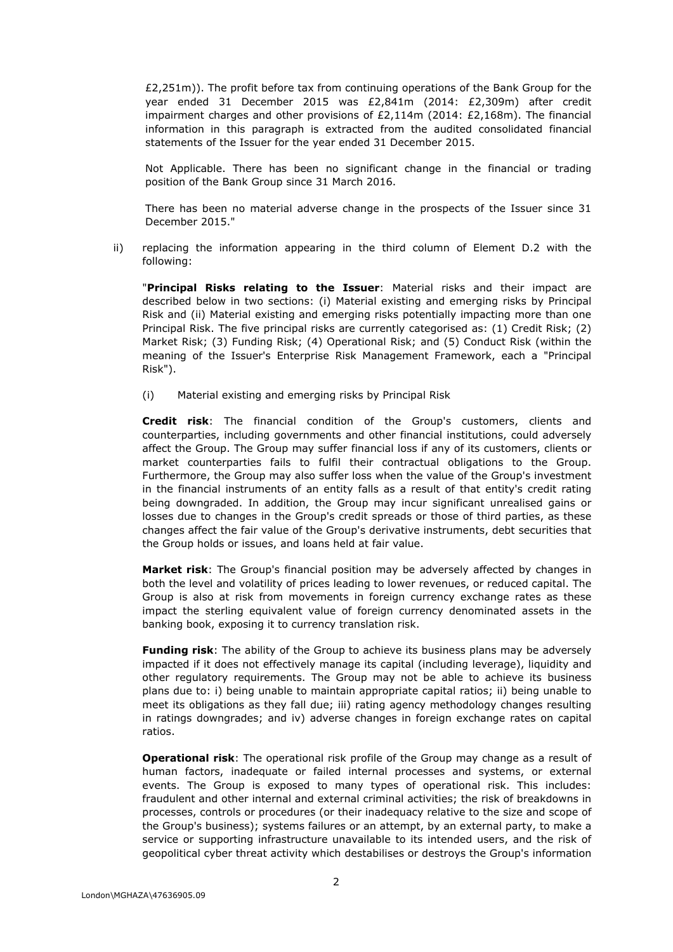£2,251m)). The profit before tax from continuing operations of the Bank Group for the year ended 31 December 2015 was £2,841m (2014: £2,309m) after credit impairment charges and other provisions of £2,114m (2014: £2,168m). The financial information in this paragraph is extracted from the audited consolidated financial statements of the Issuer for the year ended 31 December 2015.

Not Applicable. There has been no significant change in the financial or trading position of the Bank Group since 31 March 2016.

There has been no material adverse change in the prospects of the Issuer since 31 December 2015."

ii) replacing the information appearing in the third column of Element D.2 with the following:

"**Principal Risks relating to the Issuer**: Material risks and their impact are described below in two sections: (i) Material existing and emerging risks by Principal Risk and (ii) Material existing and emerging risks potentially impacting more than one Principal Risk. The five principal risks are currently categorised as: (1) Credit Risk; (2) Market Risk; (3) Funding Risk; (4) Operational Risk; and (5) Conduct Risk (within the meaning of the Issuer's Enterprise Risk Management Framework, each a "Principal Risk").

(i) Material existing and emerging risks by Principal Risk

**Credit risk**: The financial condition of the Group's customers, clients and counterparties, including governments and other financial institutions, could adversely affect the Group. The Group may suffer financial loss if any of its customers, clients or market counterparties fails to fulfil their contractual obligations to the Group. Furthermore, the Group may also suffer loss when the value of the Group's investment in the financial instruments of an entity falls as a result of that entity's credit rating being downgraded. In addition, the Group may incur significant unrealised gains or losses due to changes in the Group's credit spreads or those of third parties, as these changes affect the fair value of the Group's derivative instruments, debt securities that the Group holds or issues, and loans held at fair value.

**Market risk**: The Group's financial position may be adversely affected by changes in both the level and volatility of prices leading to lower revenues, or reduced capital. The Group is also at risk from movements in foreign currency exchange rates as these impact the sterling equivalent value of foreign currency denominated assets in the banking book, exposing it to currency translation risk.

**Funding risk**: The ability of the Group to achieve its business plans may be adversely impacted if it does not effectively manage its capital (including leverage), liquidity and other regulatory requirements. The Group may not be able to achieve its business plans due to: i) being unable to maintain appropriate capital ratios; ii) being unable to meet its obligations as they fall due; iii) rating agency methodology changes resulting in ratings downgrades; and iv) adverse changes in foreign exchange rates on capital ratios.

**Operational risk**: The operational risk profile of the Group may change as a result of human factors, inadequate or failed internal processes and systems, or external events. The Group is exposed to many types of operational risk. This includes: fraudulent and other internal and external criminal activities; the risk of breakdowns in processes, controls or procedures (or their inadequacy relative to the size and scope of the Group's business); systems failures or an attempt, by an external party, to make a service or supporting infrastructure unavailable to its intended users, and the risk of geopolitical cyber threat activity which destabilises or destroys the Group's information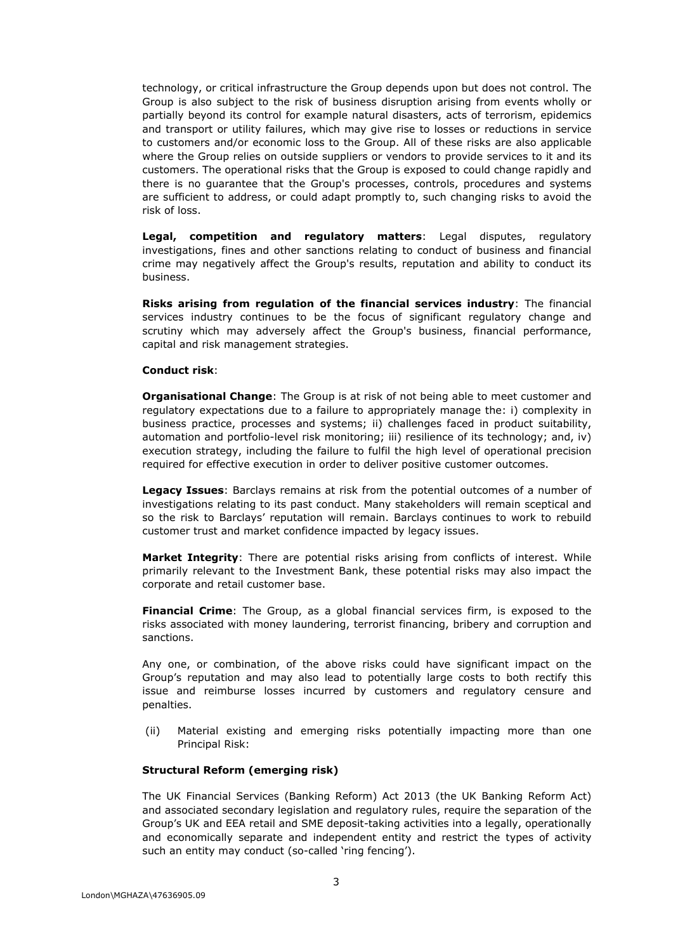technology, or critical infrastructure the Group depends upon but does not control. The Group is also subject to the risk of business disruption arising from events wholly or partially beyond its control for example natural disasters, acts of terrorism, epidemics and transport or utility failures, which may give rise to losses or reductions in service to customers and/or economic loss to the Group. All of these risks are also applicable where the Group relies on outside suppliers or vendors to provide services to it and its customers. The operational risks that the Group is exposed to could change rapidly and there is no guarantee that the Group's processes, controls, procedures and systems are sufficient to address, or could adapt promptly to, such changing risks to avoid the risk of loss.

**Legal, competition and regulatory matters**: Legal disputes, regulatory investigations, fines and other sanctions relating to conduct of business and financial crime may negatively affect the Group's results, reputation and ability to conduct its business.

**Risks arising from regulation of the financial services industry**: The financial services industry continues to be the focus of significant regulatory change and scrutiny which may adversely affect the Group's business, financial performance, capital and risk management strategies.

#### **Conduct risk**:

**Organisational Change**: The Group is at risk of not being able to meet customer and regulatory expectations due to a failure to appropriately manage the: i) complexity in business practice, processes and systems; ii) challenges faced in product suitability, automation and portfolio-level risk monitoring; iii) resilience of its technology; and, iv) execution strategy, including the failure to fulfil the high level of operational precision required for effective execution in order to deliver positive customer outcomes.

**Legacy Issues**: Barclays remains at risk from the potential outcomes of a number of investigations relating to its past conduct. Many stakeholders will remain sceptical and so the risk to Barclays' reputation will remain. Barclays continues to work to rebuild customer trust and market confidence impacted by legacy issues.

**Market Integrity**: There are potential risks arising from conflicts of interest. While primarily relevant to the Investment Bank, these potential risks may also impact the corporate and retail customer base.

**Financial Crime**: The Group, as a global financial services firm, is exposed to the risks associated with money laundering, terrorist financing, bribery and corruption and sanctions.

Any one, or combination, of the above risks could have significant impact on the Group's reputation and may also lead to potentially large costs to both rectify this issue and reimburse losses incurred by customers and regulatory censure and penalties.

(ii) Material existing and emerging risks potentially impacting more than one Principal Risk:

### **Structural Reform (emerging risk)**

The UK Financial Services (Banking Reform) Act 2013 (the UK Banking Reform Act) and associated secondary legislation and regulatory rules, require the separation of the Group's UK and EEA retail and SME deposit-taking activities into a legally, operationally and economically separate and independent entity and restrict the types of activity such an entity may conduct (so-called 'ring fencing').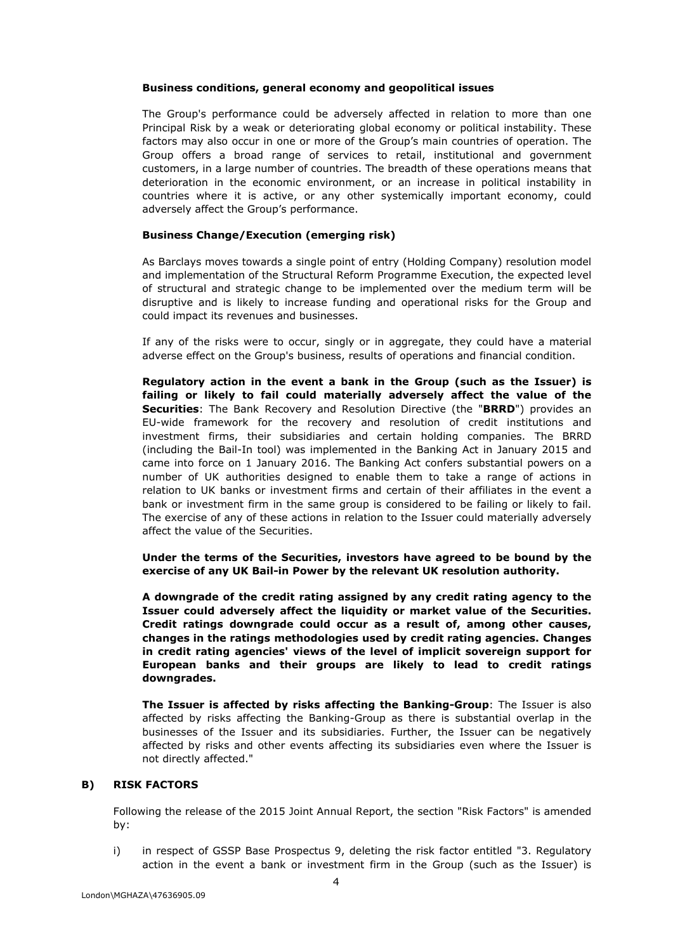#### **Business conditions, general economy and geopolitical issues**

The Group's performance could be adversely affected in relation to more than one Principal Risk by a weak or deteriorating global economy or political instability. These factors may also occur in one or more of the Group's main countries of operation. The Group offers a broad range of services to retail, institutional and government customers, in a large number of countries. The breadth of these operations means that deterioration in the economic environment, or an increase in political instability in countries where it is active, or any other systemically important economy, could adversely affect the Group's performance.

### **Business Change/Execution (emerging risk)**

As Barclays moves towards a single point of entry (Holding Company) resolution model and implementation of the Structural Reform Programme Execution, the expected level of structural and strategic change to be implemented over the medium term will be disruptive and is likely to increase funding and operational risks for the Group and could impact its revenues and businesses.

If any of the risks were to occur, singly or in aggregate, they could have a material adverse effect on the Group's business, results of operations and financial condition.

**Regulatory action in the event a bank in the Group (such as the Issuer) is failing or likely to fail could materially adversely affect the value of the Securities**: The Bank Recovery and Resolution Directive (the "**BRRD**") provides an EU-wide framework for the recovery and resolution of credit institutions and investment firms, their subsidiaries and certain holding companies. The BRRD (including the Bail-In tool) was implemented in the Banking Act in January 2015 and came into force on 1 January 2016. The Banking Act confers substantial powers on a number of UK authorities designed to enable them to take a range of actions in relation to UK banks or investment firms and certain of their affiliates in the event a bank or investment firm in the same group is considered to be failing or likely to fail. The exercise of any of these actions in relation to the Issuer could materially adversely affect the value of the Securities.

**Under the terms of the Securities, investors have agreed to be bound by the exercise of any UK Bail-in Power by the relevant UK resolution authority.**

**A downgrade of the credit rating assigned by any credit rating agency to the Issuer could adversely affect the liquidity or market value of the Securities. Credit ratings downgrade could occur as a result of, among other causes, changes in the ratings methodologies used by credit rating agencies. Changes in credit rating agencies' views of the level of implicit sovereign support for European banks and their groups are likely to lead to credit ratings downgrades.**

**The Issuer is affected by risks affecting the Banking-Group**: The Issuer is also affected by risks affecting the Banking-Group as there is substantial overlap in the businesses of the Issuer and its subsidiaries. Further, the Issuer can be negatively affected by risks and other events affecting its subsidiaries even where the Issuer is not directly affected."

#### **B) RISK FACTORS**

Following the release of the 2015 Joint Annual Report, the section "Risk Factors" is amended by:

i) in respect of GSSP Base Prospectus 9, deleting the risk factor entitled "3. Regulatory action in the event a bank or investment firm in the Group (such as the Issuer) is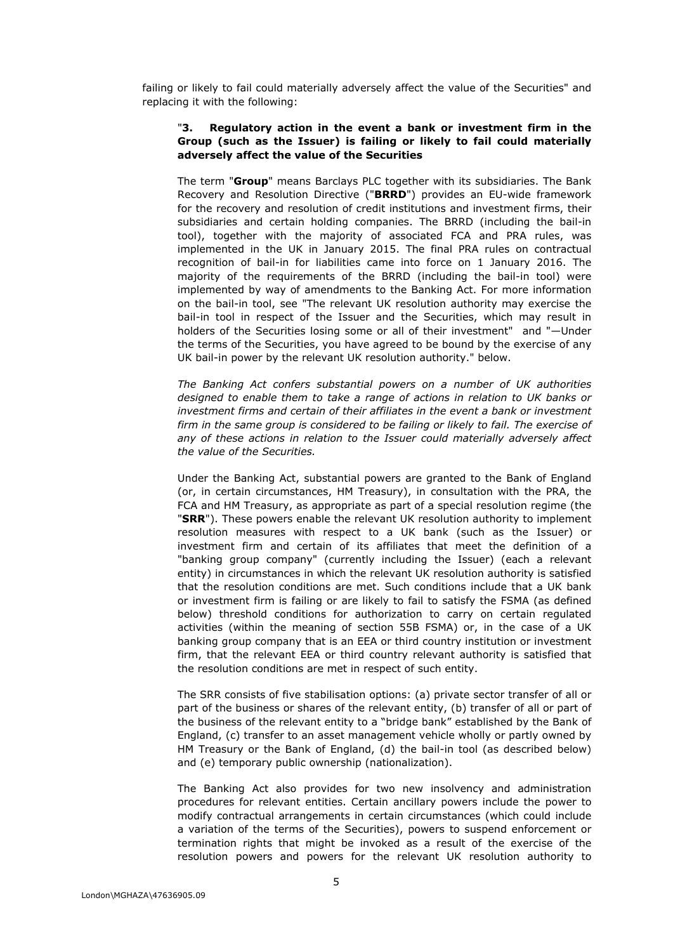failing or likely to fail could materially adversely affect the value of the Securities" and replacing it with the following:

#### "**3. Regulatory action in the event a bank or investment firm in the Group (such as the Issuer) is failing or likely to fail could materially adversely affect the value of the Securities**

The term "**Group**" means Barclays PLC together with its subsidiaries. The Bank Recovery and Resolution Directive ("**BRRD**") provides an EU-wide framework for the recovery and resolution of credit institutions and investment firms, their subsidiaries and certain holding companies. The BRRD (including the bail-in tool), together with the majority of associated FCA and PRA rules, was implemented in the UK in January 2015. The final PRA rules on contractual recognition of bail-in for liabilities came into force on 1 January 2016. The majority of the requirements of the BRRD (including the bail-in tool) were implemented by way of amendments to the Banking Act. For more information on the bail-in tool, see "The relevant UK resolution authority may exercise the bail-in tool in respect of the Issuer and the Securities, which may result in holders of the Securities losing some or all of their investment" and "—Under the terms of the Securities, you have agreed to be bound by the exercise of any UK bail-in power by the relevant UK resolution authority." below.

*The Banking Act confers substantial powers on a number of UK authorities*  designed to enable them to take a range of actions in relation to UK banks or *investment firms and certain of their affiliates in the event a bank or investment*  firm in the same group is considered to be failing or likely to fail. The exercise of any of these actions in relation to the Issuer could materially adversely affect *the value of the Securities.*

Under the Banking Act, substantial powers are granted to the Bank of England (or, in certain circumstances, HM Treasury), in consultation with the PRA, the FCA and HM Treasury, as appropriate as part of a special resolution regime (the "**SRR**"). These powers enable the relevant UK resolution authority to implement resolution measures with respect to a UK bank (such as the Issuer) or investment firm and certain of its affiliates that meet the definition of a "banking group company" (currently including the Issuer) (each a relevant entity) in circumstances in which the relevant UK resolution authority is satisfied that the resolution conditions are met. Such conditions include that a UK bank or investment firm is failing or are likely to fail to satisfy the FSMA (as defined below) threshold conditions for authorization to carry on certain regulated activities (within the meaning of section 55B FSMA) or, in the case of a UK banking group company that is an EEA or third country institution or investment firm, that the relevant EEA or third country relevant authority is satisfied that the resolution conditions are met in respect of such entity.

The SRR consists of five stabilisation options: (a) private sector transfer of all or part of the business or shares of the relevant entity, (b) transfer of all or part of the business of the relevant entity to a "bridge bank" established by the Bank of England, (c) transfer to an asset management vehicle wholly or partly owned by HM Treasury or the Bank of England, (d) the bail-in tool (as described below) and (e) temporary public ownership (nationalization).

The Banking Act also provides for two new insolvency and administration procedures for relevant entities. Certain ancillary powers include the power to modify contractual arrangements in certain circumstances (which could include a variation of the terms of the Securities), powers to suspend enforcement or termination rights that might be invoked as a result of the exercise of the resolution powers and powers for the relevant UK resolution authority to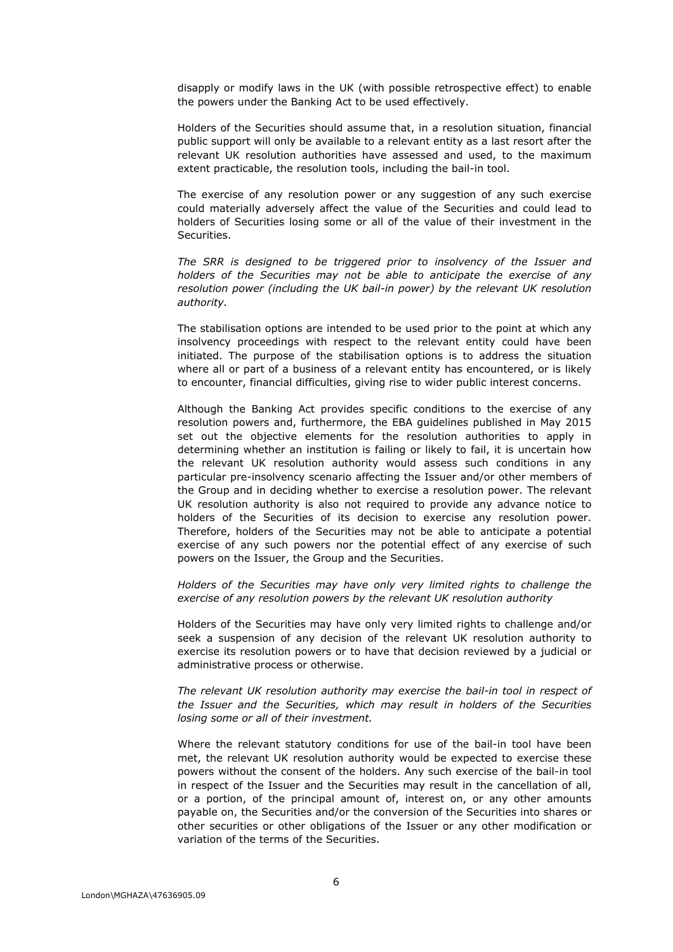disapply or modify laws in the UK (with possible retrospective effect) to enable the powers under the Banking Act to be used effectively.

Holders of the Securities should assume that, in a resolution situation, financial public support will only be available to a relevant entity as a last resort after the relevant UK resolution authorities have assessed and used, to the maximum extent practicable, the resolution tools, including the bail-in tool.

The exercise of any resolution power or any suggestion of any such exercise could materially adversely affect the value of the Securities and could lead to holders of Securities losing some or all of the value of their investment in the Securities.

*The SRR is designed to be triggered prior to insolvency of the Issuer and holders of the Securities may not be able to anticipate the exercise of any resolution power (including the UK bail-in power) by the relevant UK resolution authority.*

The stabilisation options are intended to be used prior to the point at which any insolvency proceedings with respect to the relevant entity could have been initiated. The purpose of the stabilisation options is to address the situation where all or part of a business of a relevant entity has encountered, or is likely to encounter, financial difficulties, giving rise to wider public interest concerns.

Although the Banking Act provides specific conditions to the exercise of any resolution powers and, furthermore, the EBA guidelines published in May 2015 set out the objective elements for the resolution authorities to apply in determining whether an institution is failing or likely to fail, it is uncertain how the relevant UK resolution authority would assess such conditions in any particular pre-insolvency scenario affecting the Issuer and/or other members of the Group and in deciding whether to exercise a resolution power. The relevant UK resolution authority is also not required to provide any advance notice to holders of the Securities of its decision to exercise any resolution power. Therefore, holders of the Securities may not be able to anticipate a potential exercise of any such powers nor the potential effect of any exercise of such powers on the Issuer, the Group and the Securities.

*Holders of the Securities may have only very limited rights to challenge the exercise of any resolution powers by the relevant UK resolution authority*

Holders of the Securities may have only very limited rights to challenge and/or seek a suspension of any decision of the relevant UK resolution authority to exercise its resolution powers or to have that decision reviewed by a judicial or administrative process or otherwise.

*The relevant UK resolution authority may exercise the bail-in tool in respect of the Issuer and the Securities, which may result in holders of the Securities losing some or all of their investment.*

Where the relevant statutory conditions for use of the bail-in tool have been met, the relevant UK resolution authority would be expected to exercise these powers without the consent of the holders. Any such exercise of the bail-in tool in respect of the Issuer and the Securities may result in the cancellation of all, or a portion, of the principal amount of, interest on, or any other amounts payable on, the Securities and/or the conversion of the Securities into shares or other securities or other obligations of the Issuer or any other modification or variation of the terms of the Securities.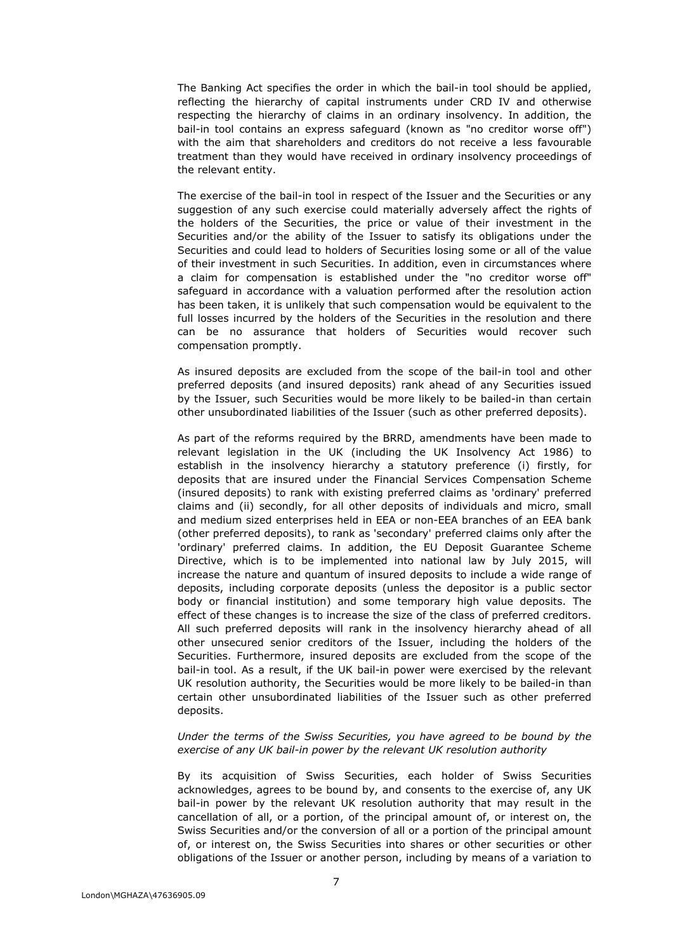The Banking Act specifies the order in which the bail-in tool should be applied, reflecting the hierarchy of capital instruments under CRD IV and otherwise respecting the hierarchy of claims in an ordinary insolvency. In addition, the bail-in tool contains an express safeguard (known as "no creditor worse off") with the aim that shareholders and creditors do not receive a less favourable treatment than they would have received in ordinary insolvency proceedings of the relevant entity.

The exercise of the bail-in tool in respect of the Issuer and the Securities or any suggestion of any such exercise could materially adversely affect the rights of the holders of the Securities, the price or value of their investment in the Securities and/or the ability of the Issuer to satisfy its obligations under the Securities and could lead to holders of Securities losing some or all of the value of their investment in such Securities. In addition, even in circumstances where a claim for compensation is established under the "no creditor worse off" safeguard in accordance with a valuation performed after the resolution action has been taken, it is unlikely that such compensation would be equivalent to the full losses incurred by the holders of the Securities in the resolution and there can be no assurance that holders of Securities would recover such compensation promptly.

As insured deposits are excluded from the scope of the bail-in tool and other preferred deposits (and insured deposits) rank ahead of any Securities issued by the Issuer, such Securities would be more likely to be bailed-in than certain other unsubordinated liabilities of the Issuer (such as other preferred deposits).

As part of the reforms required by the BRRD, amendments have been made to relevant legislation in the UK (including the UK Insolvency Act 1986) to establish in the insolvency hierarchy a statutory preference (i) firstly, for deposits that are insured under the Financial Services Compensation Scheme (insured deposits) to rank with existing preferred claims as 'ordinary' preferred claims and (ii) secondly, for all other deposits of individuals and micro, small and medium sized enterprises held in EEA or non-EEA branches of an EEA bank (other preferred deposits), to rank as 'secondary' preferred claims only after the 'ordinary' preferred claims. In addition, the EU Deposit Guarantee Scheme Directive, which is to be implemented into national law by July 2015, will increase the nature and quantum of insured deposits to include a wide range of deposits, including corporate deposits (unless the depositor is a public sector body or financial institution) and some temporary high value deposits. The effect of these changes is to increase the size of the class of preferred creditors. All such preferred deposits will rank in the insolvency hierarchy ahead of all other unsecured senior creditors of the Issuer, including the holders of the Securities. Furthermore, insured deposits are excluded from the scope of the bail-in tool. As a result, if the UK bail-in power were exercised by the relevant UK resolution authority, the Securities would be more likely to be bailed-in than certain other unsubordinated liabilities of the Issuer such as other preferred deposits.

### *Under the terms of the Swiss Securities, you have agreed to be bound by the exercise of any UK bail-in power by the relevant UK resolution authority*

By its acquisition of Swiss Securities, each holder of Swiss Securities acknowledges, agrees to be bound by, and consents to the exercise of, any UK bail-in power by the relevant UK resolution authority that may result in the cancellation of all, or a portion, of the principal amount of, or interest on, the Swiss Securities and/or the conversion of all or a portion of the principal amount of, or interest on, the Swiss Securities into shares or other securities or other obligations of the Issuer or another person, including by means of a variation to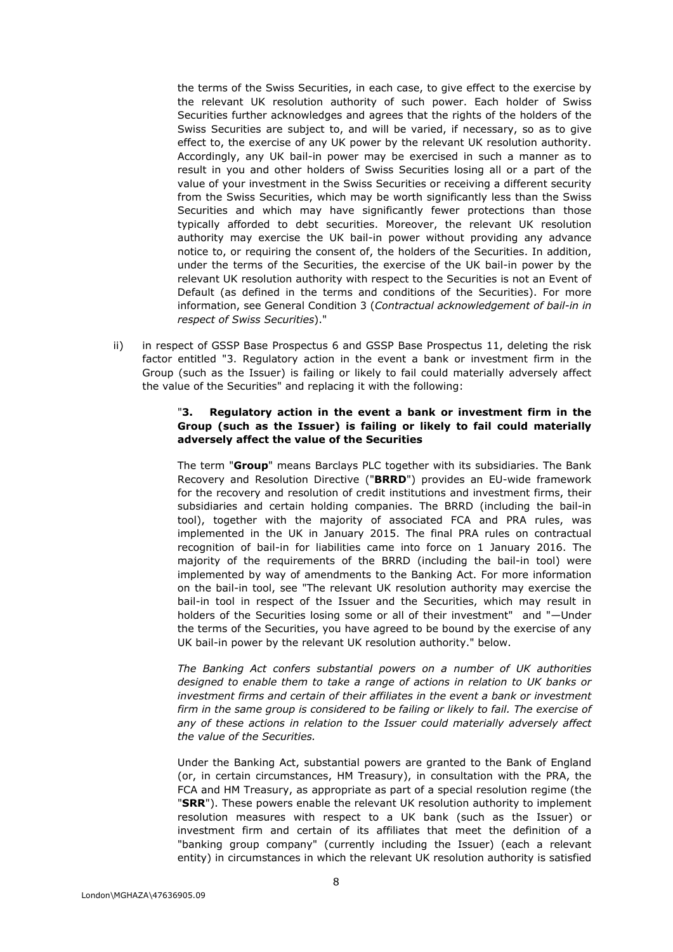the terms of the Swiss Securities, in each case, to give effect to the exercise by the relevant UK resolution authority of such power. Each holder of Swiss Securities further acknowledges and agrees that the rights of the holders of the Swiss Securities are subject to, and will be varied, if necessary, so as to give effect to, the exercise of any UK power by the relevant UK resolution authority. Accordingly, any UK bail-in power may be exercised in such a manner as to result in you and other holders of Swiss Securities losing all or a part of the value of your investment in the Swiss Securities or receiving a different security from the Swiss Securities, which may be worth significantly less than the Swiss Securities and which may have significantly fewer protections than those typically afforded to debt securities. Moreover, the relevant UK resolution authority may exercise the UK bail-in power without providing any advance notice to, or requiring the consent of, the holders of the Securities. In addition, under the terms of the Securities, the exercise of the UK bail-in power by the relevant UK resolution authority with respect to the Securities is not an Event of Default (as defined in the terms and conditions of the Securities). For more information, see General Condition 3 (*Contractual acknowledgement of bail-in in respect of Swiss Securities*)."

ii) in respect of GSSP Base Prospectus 6 and GSSP Base Prospectus 11, deleting the risk factor entitled "3. Regulatory action in the event a bank or investment firm in the Group (such as the Issuer) is failing or likely to fail could materially adversely affect the value of the Securities" and replacing it with the following:

### "**3. Regulatory action in the event a bank or investment firm in the Group (such as the Issuer) is failing or likely to fail could materially adversely affect the value of the Securities**

The term "**Group**" means Barclays PLC together with its subsidiaries. The Bank Recovery and Resolution Directive ("**BRRD**") provides an EU-wide framework for the recovery and resolution of credit institutions and investment firms, their subsidiaries and certain holding companies. The BRRD (including the bail-in tool), together with the majority of associated FCA and PRA rules, was implemented in the UK in January 2015. The final PRA rules on contractual recognition of bail-in for liabilities came into force on 1 January 2016. The majority of the requirements of the BRRD (including the bail-in tool) were implemented by way of amendments to the Banking Act. For more information on the bail-in tool, see "The relevant UK resolution authority may exercise the bail-in tool in respect of the Issuer and the Securities, which may result in holders of the Securities losing some or all of their investment" and "—Under the terms of the Securities, you have agreed to be bound by the exercise of any UK bail-in power by the relevant UK resolution authority." below.

*The Banking Act confers substantial powers on a number of UK authorities designed to enable them to take a range of actions in relation to UK banks or investment firms and certain of their affiliates in the event a bank or investment firm in the same group is considered to be failing or likely to fail. The exercise of any of these actions in relation to the Issuer could materially adversely affect the value of the Securities.*

Under the Banking Act, substantial powers are granted to the Bank of England (or, in certain circumstances, HM Treasury), in consultation with the PRA, the FCA and HM Treasury, as appropriate as part of a special resolution regime (the "**SRR**"). These powers enable the relevant UK resolution authority to implement resolution measures with respect to a UK bank (such as the Issuer) or investment firm and certain of its affiliates that meet the definition of a "banking group company" (currently including the Issuer) (each a relevant entity) in circumstances in which the relevant UK resolution authority is satisfied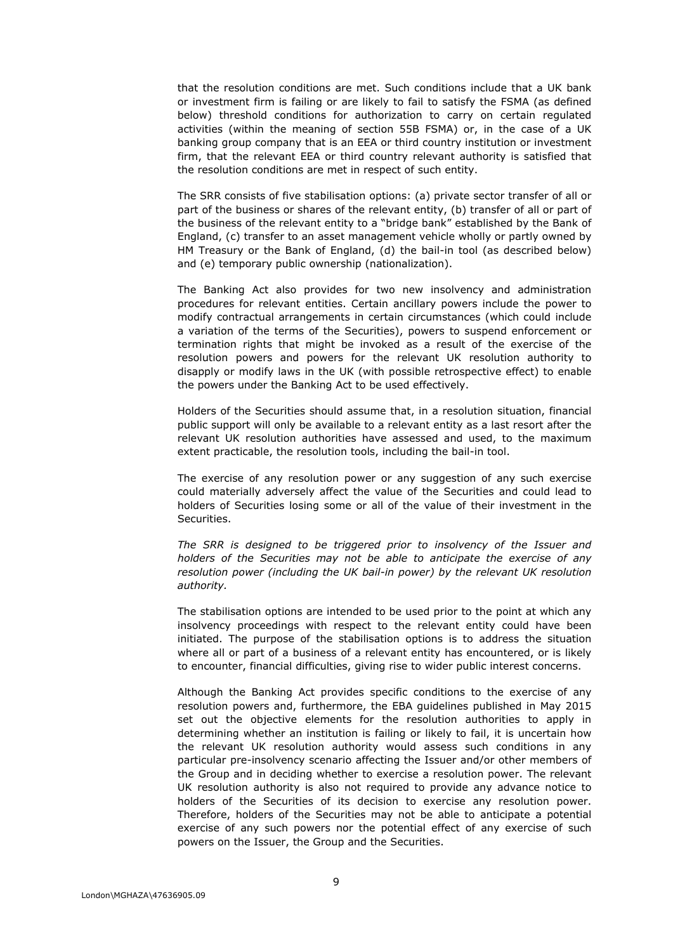that the resolution conditions are met. Such conditions include that a UK bank or investment firm is failing or are likely to fail to satisfy the FSMA (as defined below) threshold conditions for authorization to carry on certain regulated activities (within the meaning of section 55B FSMA) or, in the case of a UK banking group company that is an EEA or third country institution or investment firm, that the relevant EEA or third country relevant authority is satisfied that the resolution conditions are met in respect of such entity.

The SRR consists of five stabilisation options: (a) private sector transfer of all or part of the business or shares of the relevant entity, (b) transfer of all or part of the business of the relevant entity to a "bridge bank" established by the Bank of England, (c) transfer to an asset management vehicle wholly or partly owned by HM Treasury or the Bank of England, (d) the bail-in tool (as described below) and (e) temporary public ownership (nationalization).

The Banking Act also provides for two new insolvency and administration procedures for relevant entities. Certain ancillary powers include the power to modify contractual arrangements in certain circumstances (which could include a variation of the terms of the Securities), powers to suspend enforcement or termination rights that might be invoked as a result of the exercise of the resolution powers and powers for the relevant UK resolution authority to disapply or modify laws in the UK (with possible retrospective effect) to enable the powers under the Banking Act to be used effectively.

Holders of the Securities should assume that, in a resolution situation, financial public support will only be available to a relevant entity as a last resort after the relevant UK resolution authorities have assessed and used, to the maximum extent practicable, the resolution tools, including the bail-in tool.

The exercise of any resolution power or any suggestion of any such exercise could materially adversely affect the value of the Securities and could lead to holders of Securities losing some or all of the value of their investment in the Securities.

*The SRR is designed to be triggered prior to insolvency of the Issuer and holders of the Securities may not be able to anticipate the exercise of any resolution power (including the UK bail-in power) by the relevant UK resolution authority.*

The stabilisation options are intended to be used prior to the point at which any insolvency proceedings with respect to the relevant entity could have been initiated. The purpose of the stabilisation options is to address the situation where all or part of a business of a relevant entity has encountered, or is likely to encounter, financial difficulties, giving rise to wider public interest concerns.

Although the Banking Act provides specific conditions to the exercise of any resolution powers and, furthermore, the EBA guidelines published in May 2015 set out the objective elements for the resolution authorities to apply in determining whether an institution is failing or likely to fail, it is uncertain how the relevant UK resolution authority would assess such conditions in any particular pre-insolvency scenario affecting the Issuer and/or other members of the Group and in deciding whether to exercise a resolution power. The relevant UK resolution authority is also not required to provide any advance notice to holders of the Securities of its decision to exercise any resolution power. Therefore, holders of the Securities may not be able to anticipate a potential exercise of any such powers nor the potential effect of any exercise of such powers on the Issuer, the Group and the Securities.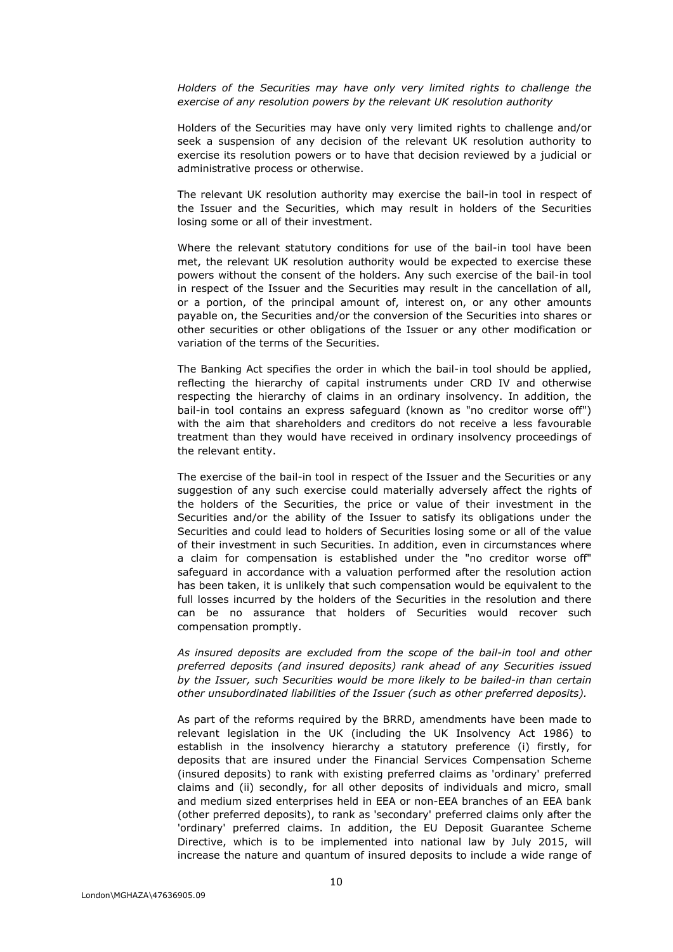*Holders of the Securities may have only very limited rights to challenge the exercise of any resolution powers by the relevant UK resolution authority* 

Holders of the Securities may have only very limited rights to challenge and/or seek a suspension of any decision of the relevant UK resolution authority to exercise its resolution powers or to have that decision reviewed by a judicial or administrative process or otherwise.

The relevant UK resolution authority may exercise the bail-in tool in respect of the Issuer and the Securities, which may result in holders of the Securities losing some or all of their investment.

Where the relevant statutory conditions for use of the bail-in tool have been met, the relevant UK resolution authority would be expected to exercise these powers without the consent of the holders. Any such exercise of the bail-in tool in respect of the Issuer and the Securities may result in the cancellation of all, or a portion, of the principal amount of, interest on, or any other amounts payable on, the Securities and/or the conversion of the Securities into shares or other securities or other obligations of the Issuer or any other modification or variation of the terms of the Securities.

The Banking Act specifies the order in which the bail-in tool should be applied, reflecting the hierarchy of capital instruments under CRD IV and otherwise respecting the hierarchy of claims in an ordinary insolvency. In addition, the bail-in tool contains an express safeguard (known as "no creditor worse off") with the aim that shareholders and creditors do not receive a less favourable treatment than they would have received in ordinary insolvency proceedings of the relevant entity.

The exercise of the bail-in tool in respect of the Issuer and the Securities or any suggestion of any such exercise could materially adversely affect the rights of the holders of the Securities, the price or value of their investment in the Securities and/or the ability of the Issuer to satisfy its obligations under the Securities and could lead to holders of Securities losing some or all of the value of their investment in such Securities. In addition, even in circumstances where a claim for compensation is established under the "no creditor worse off" safeguard in accordance with a valuation performed after the resolution action has been taken, it is unlikely that such compensation would be equivalent to the full losses incurred by the holders of the Securities in the resolution and there can be no assurance that holders of Securities would recover such compensation promptly.

*As insured deposits are excluded from the scope of the bail-in tool and other preferred deposits (and insured deposits) rank ahead of any Securities issued by the Issuer, such Securities would be more likely to be bailed-in than certain other unsubordinated liabilities of the Issuer (such as other preferred deposits).*

As part of the reforms required by the BRRD, amendments have been made to relevant legislation in the UK (including the UK Insolvency Act 1986) to establish in the insolvency hierarchy a statutory preference (i) firstly, for deposits that are insured under the Financial Services Compensation Scheme (insured deposits) to rank with existing preferred claims as 'ordinary' preferred claims and (ii) secondly, for all other deposits of individuals and micro, small and medium sized enterprises held in EEA or non-EEA branches of an EEA bank (other preferred deposits), to rank as 'secondary' preferred claims only after the 'ordinary' preferred claims. In addition, the EU Deposit Guarantee Scheme Directive, which is to be implemented into national law by July 2015, will increase the nature and quantum of insured deposits to include a wide range of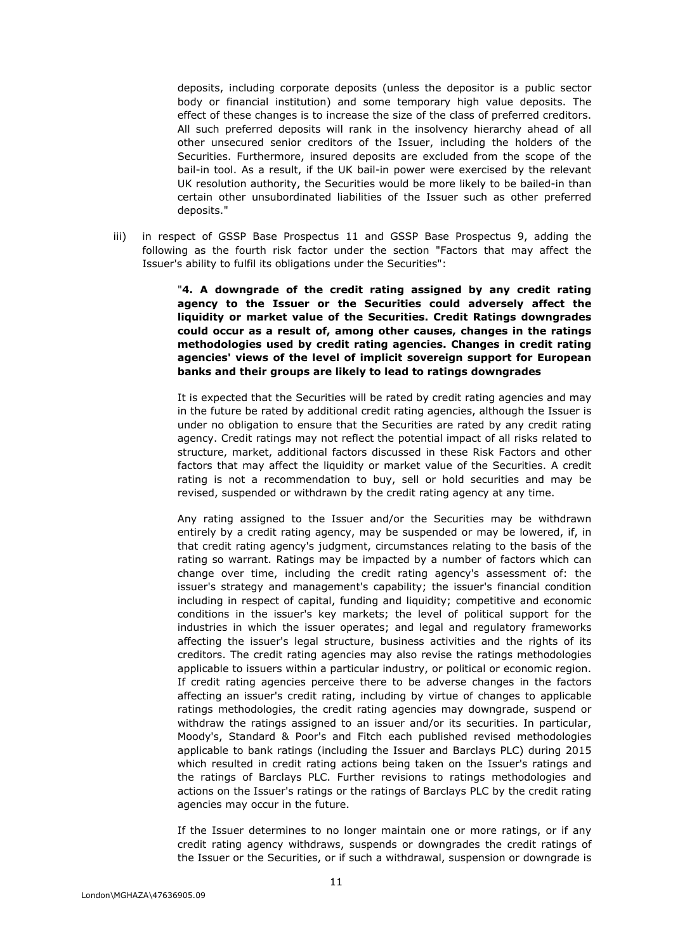deposits, including corporate deposits (unless the depositor is a public sector body or financial institution) and some temporary high value deposits. The effect of these changes is to increase the size of the class of preferred creditors. All such preferred deposits will rank in the insolvency hierarchy ahead of all other unsecured senior creditors of the Issuer, including the holders of the Securities. Furthermore, insured deposits are excluded from the scope of the bail-in tool. As a result, if the UK bail-in power were exercised by the relevant UK resolution authority, the Securities would be more likely to be bailed-in than certain other unsubordinated liabilities of the Issuer such as other preferred deposits."

iii) in respect of GSSP Base Prospectus 11 and GSSP Base Prospectus 9, adding the following as the fourth risk factor under the section "Factors that may affect the Issuer's ability to fulfil its obligations under the Securities":

> "**4. A downgrade of the credit rating assigned by any credit rating agency to the Issuer or the Securities could adversely affect the liquidity or market value of the Securities. Credit Ratings downgrades could occur as a result of, among other causes, changes in the ratings methodologies used by credit rating agencies. Changes in credit rating agencies' views of the level of implicit sovereign support for European banks and their groups are likely to lead to ratings downgrades**

> It is expected that the Securities will be rated by credit rating agencies and may in the future be rated by additional credit rating agencies, although the Issuer is under no obligation to ensure that the Securities are rated by any credit rating agency. Credit ratings may not reflect the potential impact of all risks related to structure, market, additional factors discussed in these Risk Factors and other factors that may affect the liquidity or market value of the Securities. A credit rating is not a recommendation to buy, sell or hold securities and may be revised, suspended or withdrawn by the credit rating agency at any time.

> Any rating assigned to the Issuer and/or the Securities may be withdrawn entirely by a credit rating agency, may be suspended or may be lowered, if, in that credit rating agency's judgment, circumstances relating to the basis of the rating so warrant. Ratings may be impacted by a number of factors which can change over time, including the credit rating agency's assessment of: the issuer's strategy and management's capability; the issuer's financial condition including in respect of capital, funding and liquidity; competitive and economic conditions in the issuer's key markets; the level of political support for the industries in which the issuer operates; and legal and regulatory frameworks affecting the issuer's legal structure, business activities and the rights of its creditors. The credit rating agencies may also revise the ratings methodologies applicable to issuers within a particular industry, or political or economic region. If credit rating agencies perceive there to be adverse changes in the factors affecting an issuer's credit rating, including by virtue of changes to applicable ratings methodologies, the credit rating agencies may downgrade, suspend or withdraw the ratings assigned to an issuer and/or its securities. In particular, Moody's, Standard & Poor's and Fitch each published revised methodologies applicable to bank ratings (including the Issuer and Barclays PLC) during 2015 which resulted in credit rating actions being taken on the Issuer's ratings and the ratings of Barclays PLC. Further revisions to ratings methodologies and actions on the Issuer's ratings or the ratings of Barclays PLC by the credit rating agencies may occur in the future.

> If the Issuer determines to no longer maintain one or more ratings, or if any credit rating agency withdraws, suspends or downgrades the credit ratings of the Issuer or the Securities, or if such a withdrawal, suspension or downgrade is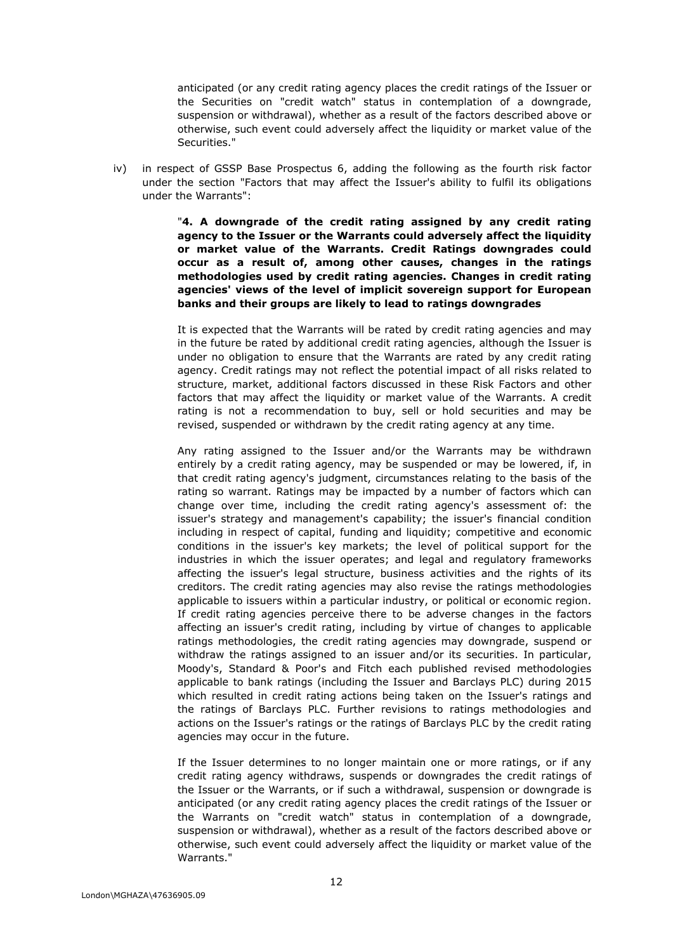anticipated (or any credit rating agency places the credit ratings of the Issuer or the Securities on "credit watch" status in contemplation of a downgrade, suspension or withdrawal), whether as a result of the factors described above or otherwise, such event could adversely affect the liquidity or market value of the Securities."

iv) in respect of GSSP Base Prospectus 6, adding the following as the fourth risk factor under the section "Factors that may affect the Issuer's ability to fulfil its obligations under the Warrants":

> "**4. A downgrade of the credit rating assigned by any credit rating agency to the Issuer or the Warrants could adversely affect the liquidity or market value of the Warrants. Credit Ratings downgrades could occur as a result of, among other causes, changes in the ratings methodologies used by credit rating agencies. Changes in credit rating agencies' views of the level of implicit sovereign support for European banks and their groups are likely to lead to ratings downgrades**

> It is expected that the Warrants will be rated by credit rating agencies and may in the future be rated by additional credit rating agencies, although the Issuer is under no obligation to ensure that the Warrants are rated by any credit rating agency. Credit ratings may not reflect the potential impact of all risks related to structure, market, additional factors discussed in these Risk Factors and other factors that may affect the liquidity or market value of the Warrants. A credit rating is not a recommendation to buy, sell or hold securities and may be revised, suspended or withdrawn by the credit rating agency at any time.

> Any rating assigned to the Issuer and/or the Warrants may be withdrawn entirely by a credit rating agency, may be suspended or may be lowered, if, in that credit rating agency's judgment, circumstances relating to the basis of the rating so warrant. Ratings may be impacted by a number of factors which can change over time, including the credit rating agency's assessment of: the issuer's strategy and management's capability; the issuer's financial condition including in respect of capital, funding and liquidity; competitive and economic conditions in the issuer's key markets; the level of political support for the industries in which the issuer operates; and legal and regulatory frameworks affecting the issuer's legal structure, business activities and the rights of its creditors. The credit rating agencies may also revise the ratings methodologies applicable to issuers within a particular industry, or political or economic region. If credit rating agencies perceive there to be adverse changes in the factors affecting an issuer's credit rating, including by virtue of changes to applicable ratings methodologies, the credit rating agencies may downgrade, suspend or withdraw the ratings assigned to an issuer and/or its securities. In particular, Moody's, Standard & Poor's and Fitch each published revised methodologies applicable to bank ratings (including the Issuer and Barclays PLC) during 2015 which resulted in credit rating actions being taken on the Issuer's ratings and the ratings of Barclays PLC. Further revisions to ratings methodologies and actions on the Issuer's ratings or the ratings of Barclays PLC by the credit rating agencies may occur in the future.

> If the Issuer determines to no longer maintain one or more ratings, or if any credit rating agency withdraws, suspends or downgrades the credit ratings of the Issuer or the Warrants, or if such a withdrawal, suspension or downgrade is anticipated (or any credit rating agency places the credit ratings of the Issuer or the Warrants on "credit watch" status in contemplation of a downgrade, suspension or withdrawal), whether as a result of the factors described above or otherwise, such event could adversely affect the liquidity or market value of the Warrants."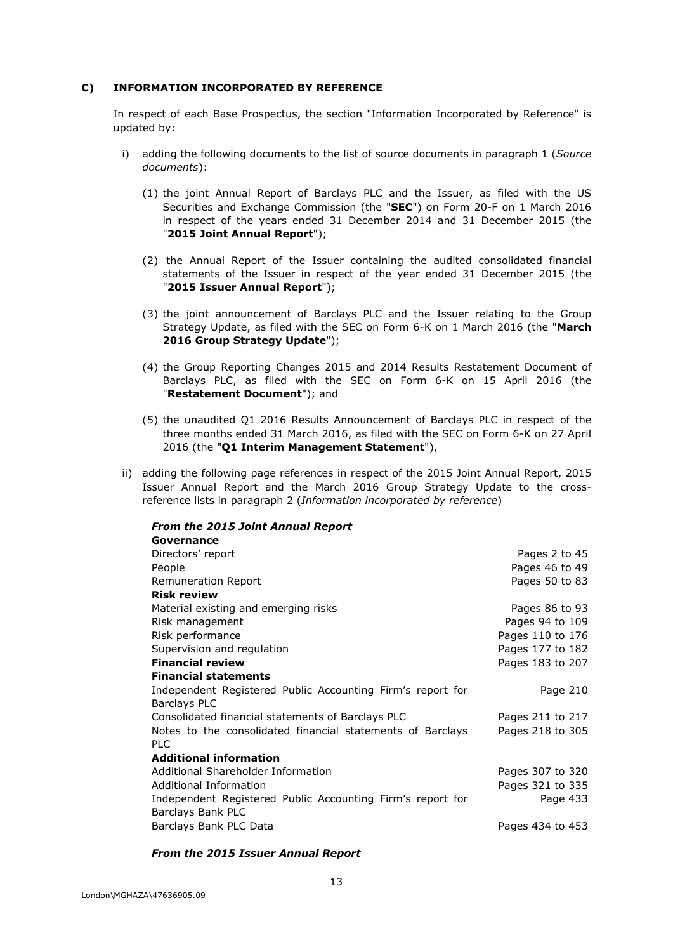# **C) INFORMATION INCORPORATED BY REFERENCE**

In respect of each Base Prospectus, the section "Information Incorporated by Reference" is updated by:

- i) adding the following documents to the list of source documents in paragraph 1 (*Source documents*):
	- (1) the joint Annual Report of Barclays PLC and the Issuer, as filed with the US Securities and Exchange Commission (the "**SEC**") on Form 20-F on 1 March 2016 in respect of the years ended 31 December 2014 and 31 December 2015 (the "**2015 Joint Annual Report**");
	- (2) the Annual Report of the Issuer containing the audited consolidated financial statements of the Issuer in respect of the year ended 31 December 2015 (the "**2015 Issuer Annual Report**");
	- (3) the joint announcement of Barclays PLC and the Issuer relating to the Group Strategy Update, as filed with the SEC on Form 6-K on 1 March 2016 (the "**March 2016 Group Strategy Update**");
	- (4) the Group Reporting Changes 2015 and 2014 Results Restatement Document of Barclays PLC, as filed with the SEC on Form 6-K on 15 April 2016 (the "**Restatement Document**"); and
	- (5) the unaudited Q1 2016 Results Announcement of Barclays PLC in respect of the three months ended 31 March 2016, as filed with the SEC on Form 6-K on 27 April 2016 (the "**Q1 Interim Management Statement**"),
- ii) adding the following page references in respect of the 2015 Joint Annual Report, 2015 Issuer Annual Report and the March 2016 Group Strategy Update to the crossreference lists in paragraph 2 (*Information incorporated by reference*)

| <b>From the 2015 Joint Annual Report</b>                   |                  |
|------------------------------------------------------------|------------------|
| Governance                                                 |                  |
| Directors' report                                          | Pages 2 to 45    |
| People                                                     | Pages 46 to 49   |
| Remuneration Report                                        | Pages 50 to 83   |
| <b>Risk review</b>                                         |                  |
| Material existing and emerging risks                       | Pages 86 to 93   |
| Risk management                                            | Pages 94 to 109  |
| Risk performance                                           | Pages 110 to 176 |
| Supervision and regulation                                 | Pages 177 to 182 |
| <b>Financial review</b>                                    | Pages 183 to 207 |
| <b>Financial statements</b>                                |                  |
| Independent Registered Public Accounting Firm's report for | Page 210         |
| <b>Barclays PLC</b>                                        |                  |
| Consolidated financial statements of Barclays PLC          | Pages 211 to 217 |
| Notes to the consolidated financial statements of Barclays | Pages 218 to 305 |
| <b>PLC</b>                                                 |                  |
| <b>Additional information</b>                              |                  |
| Additional Shareholder Information                         | Pages 307 to 320 |
| Additional Information                                     | Pages 321 to 335 |
| Independent Registered Public Accounting Firm's report for | Page 433         |
| Barclays Bank PLC                                          |                  |
| Barclays Bank PLC Data                                     | Pages 434 to 453 |

#### *From the 2015 Issuer Annual Report*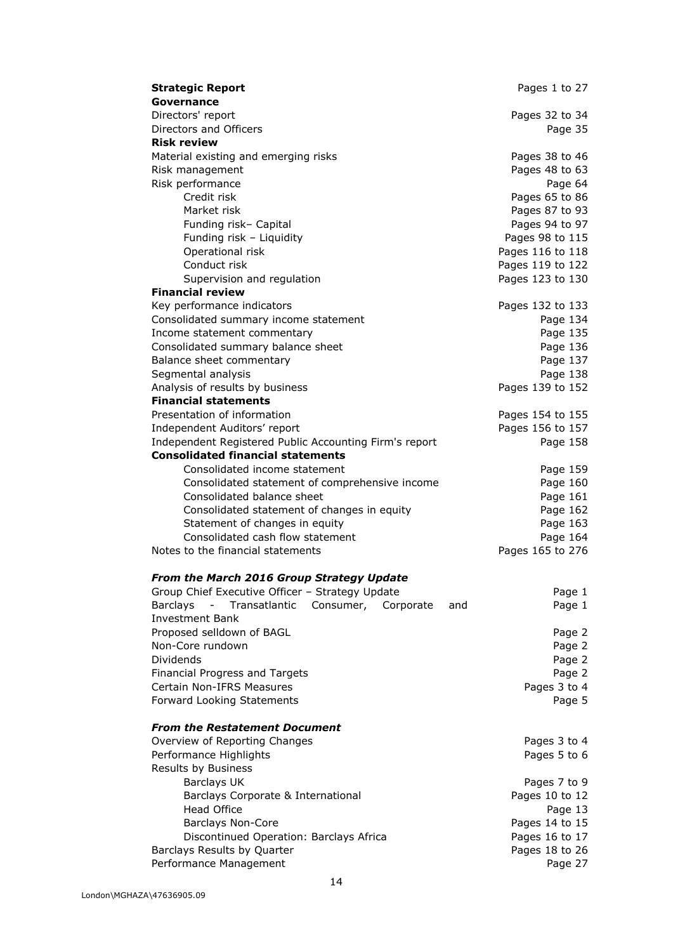| <b>Strategic Report</b>                                    | Pages 1 to 27                  |
|------------------------------------------------------------|--------------------------------|
| Governance                                                 |                                |
| Directors' report                                          | Pages 32 to 34                 |
| Directors and Officers                                     | Page 35                        |
| <b>Risk review</b>                                         |                                |
| Material existing and emerging risks                       | Pages 38 to 46                 |
| Risk management                                            | Pages 48 to 63                 |
| Risk performance                                           | Page 64                        |
| Credit risk                                                | Pages 65 to 86                 |
| Market risk                                                | Pages 87 to 93                 |
| Funding risk- Capital                                      | Pages 94 to 97                 |
| Funding risk - Liquidity                                   | Pages 98 to 115                |
| Operational risk                                           | Pages 116 to 118               |
| Conduct risk                                               | Pages 119 to 122               |
| Supervision and regulation                                 | Pages 123 to 130               |
| <b>Financial review</b>                                    |                                |
| Key performance indicators                                 | Pages 132 to 133               |
| Consolidated summary income statement                      | Page 134                       |
| Income statement commentary                                | Page 135                       |
| Consolidated summary balance sheet                         | Page 136                       |
| Balance sheet commentary                                   | Page 137                       |
| Segmental analysis                                         | Page 138                       |
| Analysis of results by business                            | Pages 139 to 152               |
| <b>Financial statements</b>                                |                                |
| Presentation of information                                | Pages 154 to 155               |
| Independent Auditors' report                               | Pages 156 to 157               |
| Independent Registered Public Accounting Firm's report     | Page 158                       |
| <b>Consolidated financial statements</b>                   |                                |
| Consolidated income statement                              | Page 159                       |
| Consolidated statement of comprehensive income             | Page 160                       |
| Consolidated balance sheet                                 | Page 161                       |
| Consolidated statement of changes in equity                | Page 162                       |
| Statement of changes in equity                             | Page 163                       |
| Consolidated cash flow statement                           | Page 164                       |
| Notes to the financial statements                          | Pages 165 to 276               |
|                                                            |                                |
| From the March 2016 Group Strategy Update                  |                                |
| Group Chief Executive Officer - Strategy Update            | Page 1                         |
| <b>Barclays</b><br>Transatlantic<br>Consumer,<br>Corporate | Page 1<br>and                  |
| <b>Investment Bank</b>                                     |                                |
| Proposed selldown of BAGL                                  | Page 2                         |
| Non-Core rundown                                           | Page 2                         |
| Dividends                                                  | Page 2                         |
| Financial Progress and Targets                             | Page 2                         |
| Certain Non-IFRS Measures                                  | Pages 3 to 4                   |
| Forward Looking Statements                                 | Page 5                         |
|                                                            |                                |
| <b>From the Restatement Document</b>                       |                                |
| Overview of Reporting Changes                              | Pages 3 to 4                   |
| Performance Highlights                                     | Pages 5 to 6                   |
| Results by Business                                        |                                |
| <b>Barclays UK</b>                                         | Pages 7 to 9<br>Pages 10 to 12 |
| Barclays Corporate & International<br><b>Head Office</b>   |                                |
| <b>Barclays Non-Core</b>                                   | Page 13<br>Pages 14 to 15      |
| Discontinued Operation: Barclays Africa                    | Pages 16 to 17                 |
| Barclays Results by Quarter                                | Pages 18 to 26                 |
| Performance Management                                     | Page 27                        |
|                                                            |                                |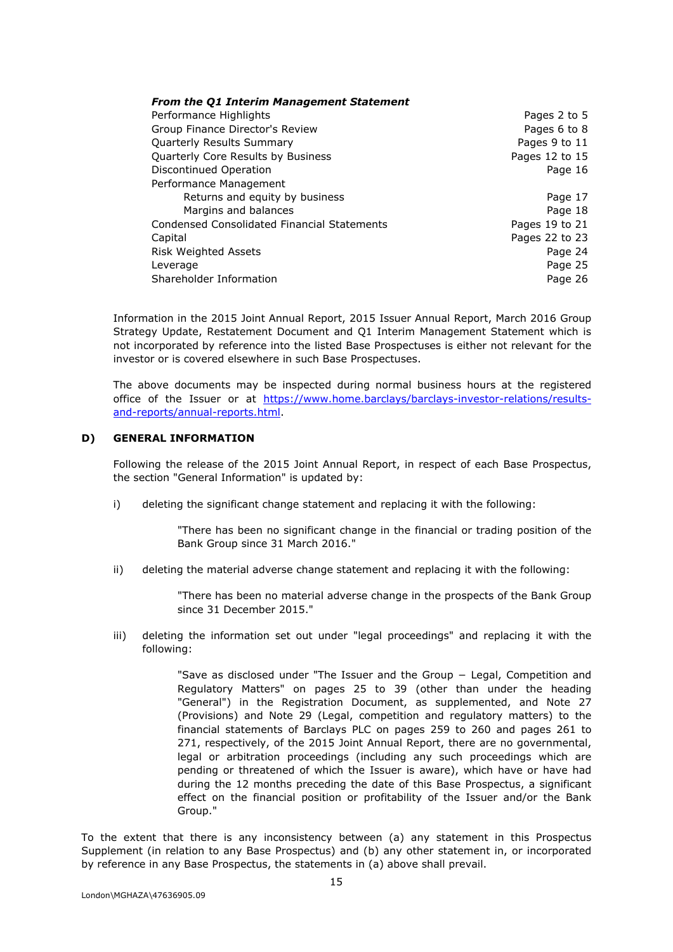| <b>From the Q1 Interim Management Statement</b> |                |
|-------------------------------------------------|----------------|
| Performance Highlights                          | Pages 2 to 5   |
| Group Finance Director's Review                 | Pages 6 to 8   |
| <b>Quarterly Results Summary</b>                | Pages 9 to 11  |
| Quarterly Core Results by Business              | Pages 12 to 15 |
| Discontinued Operation                          | Page 16        |
| Performance Management                          |                |
| Returns and equity by business                  | Page 17        |
| Margins and balances                            | Page 18        |
| Condensed Consolidated Financial Statements     | Pages 19 to 21 |
| Capital                                         | Pages 22 to 23 |
| <b>Risk Weighted Assets</b>                     | Page 24        |
| Leverage                                        | Page 25        |
| Shareholder Information                         | Page 26        |

Information in the 2015 Joint Annual Report, 2015 Issuer Annual Report, March 2016 Group Strategy Update, Restatement Document and Q1 Interim Management Statement which is not incorporated by reference into the listed Base Prospectuses is either not relevant for the investor or is covered elsewhere in such Base Prospectuses.

The above documents may be inspected during normal business hours at the registered office of the Issuer or at https://www.home.barclays/barclays-investor-relations/resultsand-reports/annual-reports.html.

# **D) GENERAL INFORMATION**

Following the release of the 2015 Joint Annual Report, in respect of each Base Prospectus, the section "General Information" is updated by:

i) deleting the significant change statement and replacing it with the following:

"There has been no significant change in the financial or trading position of the Bank Group since 31 March 2016."

ii) deleting the material adverse change statement and replacing it with the following:

"There has been no material adverse change in the prospects of the Bank Group since 31 December 2015."

iii) deleting the information set out under "legal proceedings" and replacing it with the following:

> "Save as disclosed under "The Issuer and the Group − Legal, Competition and Regulatory Matters" on pages 25 to 39 (other than under the heading "General") in the Registration Document, as supplemented, and Note 27 (Provisions) and Note 29 (Legal, competition and regulatory matters) to the financial statements of Barclays PLC on pages 259 to 260 and pages 261 to 271, respectively, of the 2015 Joint Annual Report, there are no governmental, legal or arbitration proceedings (including any such proceedings which are pending or threatened of which the Issuer is aware), which have or have had during the 12 months preceding the date of this Base Prospectus, a significant effect on the financial position or profitability of the Issuer and/or the Bank Group."

To the extent that there is any inconsistency between (a) any statement in this Prospectus Supplement (in relation to any Base Prospectus) and (b) any other statement in, or incorporated by reference in any Base Prospectus, the statements in (a) above shall prevail.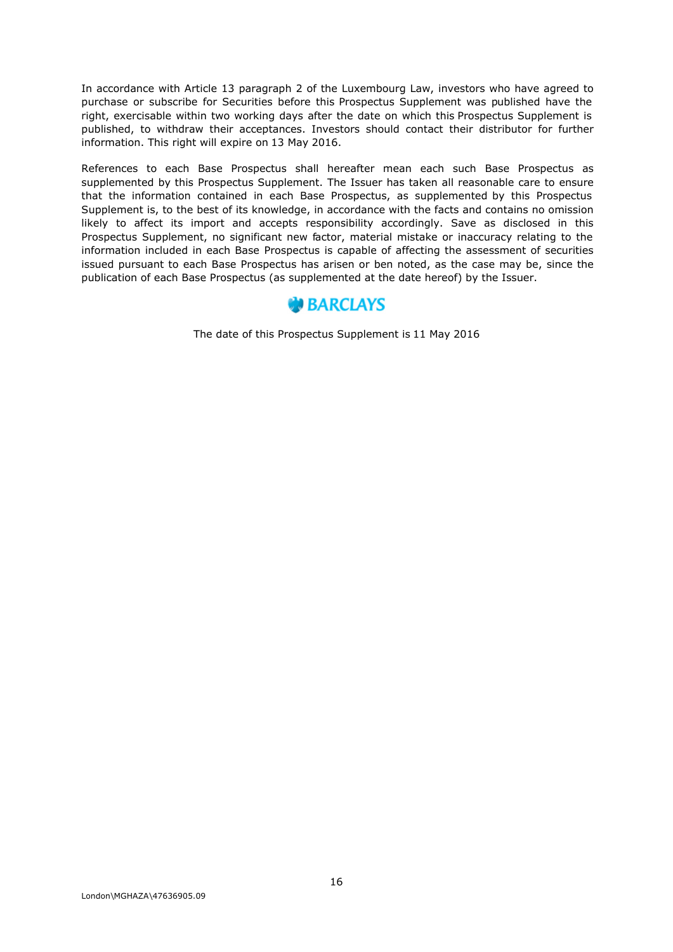In accordance with Article 13 paragraph 2 of the Luxembourg Law, investors who have agreed to purchase or subscribe for Securities before this Prospectus Supplement was published have the right, exercisable within two working days after the date on which this Prospectus Supplement is published, to withdraw their acceptances. Investors should contact their distributor for further information. This right will expire on 13 May 2016.

References to each Base Prospectus shall hereafter mean each such Base Prospectus as supplemented by this Prospectus Supplement. The Issuer has taken all reasonable care to ensure that the information contained in each Base Prospectus, as supplemented by this Prospectus Supplement is, to the best of its knowledge, in accordance with the facts and contains no omission likely to affect its import and accepts responsibility accordingly. Save as disclosed in this Prospectus Supplement, no significant new factor, material mistake or inaccuracy relating to the information included in each Base Prospectus is capable of affecting the assessment of securities issued pursuant to each Base Prospectus has arisen or ben noted, as the case may be, since the publication of each Base Prospectus (as supplemented at the date hereof) by the Issuer.



The date of this Prospectus Supplement is 11 May 2016